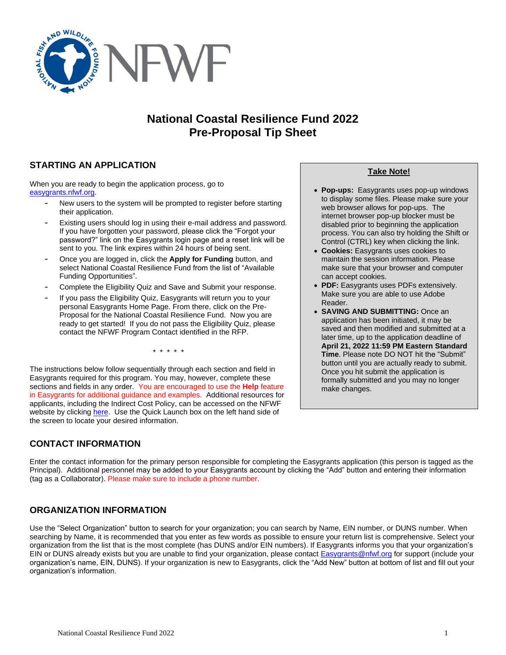

# **National Coastal Resilience Fund 2022 Pre-Proposal Tip Sheet**

# **STARTING AN APPLICATION**

When you are ready to begin the application process, go to [easygrants.nfwf.org.](https://easygrants.nfwf.org/)

- New users to the system will be prompted to register before starting their application.
- Existing users should log in using their e-mail address and password. If you have forgotten your password, please click the "Forgot your password?" link on the Easygrants login page and a reset link will be sent to you. The link expires within 24 hours of being sent.
- Once you are logged in, click the **Apply for Funding** button, and select National Coastal Resilience Fund from the list of "Available Funding Opportunities".
- Complete the Eligibility Quiz and Save and Submit your response.
- If you pass the Eligibility Quiz, Easygrants will return you to your personal Easygrants Home Page. From there, click on the Pre-Proposal for the National Coastal Resilience Fund. Now you are ready to get started! If you do not pass the Eligibility Quiz, please contact the NFWF Program Contact identified in the RFP.

\* \* \* \* \*

The instructions below follow sequentially through each section and field in Easygrants required for this program. You may, however, complete these sections and fields in any order. You are encouraged to use the **Help** feature in Easygrants for additional guidance and examples. Additional resources for applicants, including the Indirect Cost Policy, can be accessed on the NFWF website by clicking [here.](http://www.nfwf.org/whatwedo/grants/applicants/Pages/home.aspx) Use the Quick Launch box on the left hand side of the screen to locate your desired information.

# **CONTACT INFORMATION**

**Take Note!**

- **Pop-ups:** Easygrants uses pop-up windows to display some files. Please make sure your web browser allows for pop-ups. The internet browser pop-up blocker must be disabled prior to beginning the application process. You can also try holding the Shift or Control (CTRL) key when clicking the link.
- **Cookies:** Easygrants uses cookies to maintain the session information. Please make sure that your browser and computer can accept cookies.
- **PDF:** Easygrants uses PDFs extensively. Make sure you are able to use Adobe Reader.
- **SAVING AND SUBMITTING:** Once an application has been initiated, it may be saved and then modified and submitted at a later time, up to the application deadline of **April 21, 2022 11:59 PM Eastern Standard Time**. Please note DO NOT hit the "Submit" button until you are actually ready to submit. Once you hit submit the application is formally submitted and you may no longer make changes.

Enter the contact information for the primary person responsible for completing the Easygrants application (this person is tagged as the Principal). Additional personnel may be added to your Easygrants account by clicking the "Add" button and entering their information (tag as a Collaborator). Please make sure to include a phone number.

## **ORGANIZATION INFORMATION**

Use the "Select Organization" button to search for your organization; you can search by Name, EIN number, or DUNS number. When searching by Name, it is recommended that you enter as few words as possible to ensure your return list is comprehensive. Select your organization from the list that is the most complete (has DUNS and/or EIN numbers). If Easygrants informs you that your organization's EIN or DUNS already exists but you are unable to find your organization, please contact **Easygrants@nfwf.org for support (include your** organization's name, EIN, DUNS). If your organization is new to Easygrants, click the "Add New" button at bottom of list and fill out your organization's information.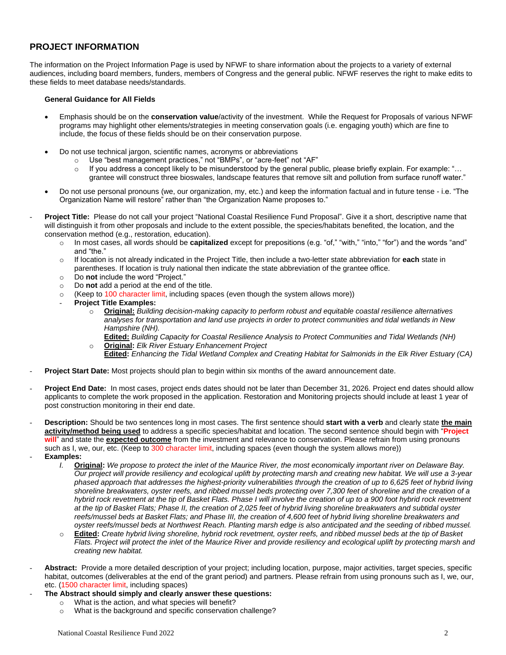## **PROJECT INFORMATION**

The information on the Project Information Page is used by NFWF to share information about the projects to a variety of external audiences, including board members, funders, members of Congress and the general public. NFWF reserves the right to make edits to these fields to meet database needs/standards.

### **General Guidance for All Fields**

- Emphasis should be on the **conservation value**/activity of the investment. While the Request for Proposals of various NFWF programs may highlight other elements/strategies in meeting conservation goals (i.e. engaging youth) which are fine to include, the focus of these fields should be on their conservation purpose.
- Do not use technical jargon, scientific names, acronyms or abbreviations
	- o Use "best management practices," not "BMPs", or "acre-feet" not "AF"
	- $\circ$  If you address a concept likely to be misunderstood by the general public, please briefly explain. For example: "... grantee will construct three bioswales, landscape features that remove silt and pollution from surface runoff water."
- Do not use personal pronouns (we, our organization, my, etc.) and keep the information factual and in future tense i.e. "The Organization Name will restore" rather than "the Organization Name proposes to."
- Project Title: Please do not call your project "National Coastal Resilience Fund Proposal". Give it a short, descriptive name that will distinguish it from other proposals and include to the extent possible, the species/habitats benefited, the location, and the conservation method (e.g., restoration, education).
	- o In most cases, all words should be **capitalized** except for prepositions (e.g. "of," "with," "into," "for") and the words "and" and "the."
	- o If location is not already indicated in the Project Title, then include a two-letter state abbreviation for **each** state in parentheses. If location is truly national then indicate the state abbreviation of the grantee office.
	- o Do **not** include the word "Project."
	- o Do **not** add a period at the end of the title.
	- $\circ$  (Keep to 100 character limit, including spaces (even though the system allows more))
	- **Project Title Examples:**
		- o **Original:** *Building decision-making capacity to perform robust and equitable coastal resilience alternatives analyses for transportation and land use projects in order to protect communities and tidal wetlands in New Hampshire (NH).*

**Edited:** *Building Capacity for Coastal Resilience Analysis to Protect Communities and Tidal Wetlands (NH)*

- o **Original:** *Elk River Estuary Enhancement Project*
	- **Edited:** *Enhancing the Tidal Wetland Complex and Creating Habitat for Salmonids in the Elk River Estuary (CA)*
- **Project Start Date:** Most projects should plan to begin within six months of the award announcement date.
- **Project End Date:** In most cases, project ends dates should not be later than December 31, 2026. Project end dates should allow applicants to complete the work proposed in the application. Restoration and Monitoring projects should include at least 1 year of post construction monitoring in their end date.
- **Description:** Should be two sentences long in most cases. The first sentence should **start with a verb** and clearly state **the main activity/method being used** to address a specific species/habitat and location. The second sentence should begin with "**Project will**" and state the **expected outcome** from the investment and relevance to conservation. Please refrain from using pronouns such as I, we, our, etc. (Keep to 300 character limit, including spaces (even though the system allows more))
- **Examples:**
	- *I.* **Original:** *We propose to protect the inlet of the Maurice River, the most economically important river on Delaware Bay. Our project will provide resiliency and ecological uplift by protecting marsh and creating new habitat. We will use a 3-year phased approach that addresses the highest-priority vulnerabilities through the creation of up to 6,625 feet of hybrid living shoreline breakwaters, oyster reefs, and ribbed mussel beds protecting over 7,300 feet of shoreline and the creation of a hybrid rock revetment at the tip of Basket Flats. Phase I will involve the creation of up to a 900 foot hybrid rock revetment at the tip of Basket Flats; Phase II, the creation of 2,025 feet of hybrid living shoreline breakwaters and subtidal oyster reefs/mussel beds at Basket Flats; and Phase III, the creation of 4,600 feet of hybrid living shoreline breakwaters and oyster reefs/mussel beds at Northwest Reach. Planting marsh edge is also anticipated and the seeding of ribbed mussel.*
	- o **Edited:** *Create hybrid living shoreline, hybrid rock revetment, oyster reefs, and ribbed mussel beds at the tip of Basket Flats. Project will protect the inlet of the Maurice River and provide resiliency and ecological uplift by protecting marsh and creating new habitat.*
- Abstract: Provide a more detailed description of your project; including location, purpose, major activities, target species, specific habitat, outcomes (deliverables at the end of the grant period) and partners. Please refrain from using pronouns such as I, we, our, etc. (1500 character limit, including spaces)
- **The Abstract should simply and clearly answer these questions:**
	- o What is the action, and what species will benefit?
	- o What is the background and specific conservation challenge?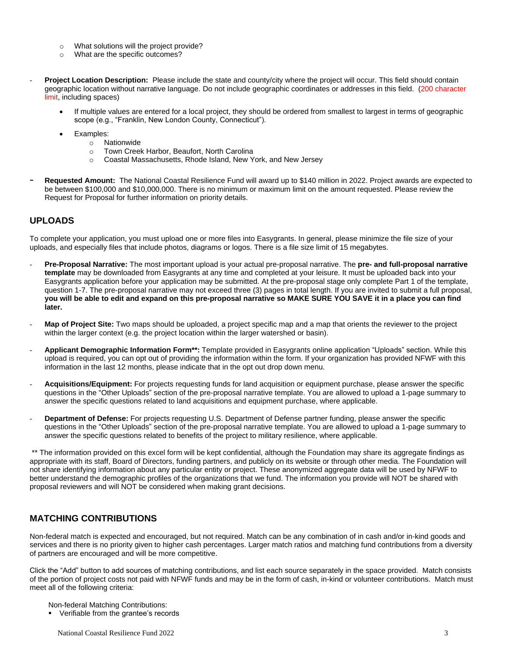- o What solutions will the project provide?
- o What are the specific outcomes?
- Project Location Description: Please include the state and county/city where the project will occur. This field should contain geographic location without narrative language. Do not include geographic coordinates or addresses in this field. (200 character limit, including spaces)
	- If multiple values are entered for a local project, they should be ordered from smallest to largest in terms of geographic scope (e.g., "Franklin, New London County, Connecticut").
	- Examples:
		- o Nationwide
			- o Town Creek Harbor, Beaufort, North Carolina
			- o Coastal Massachusetts, Rhode Island, New York, and New Jersey
- **Requested Amount:** The National Coastal Resilience Fund will award up to \$140 million in 2022. Project awards are expected to be between \$100,000 and \$10,000,000. There is no minimum or maximum limit on the amount requested. Please review the Request for Proposal for further information on priority details.

## **UPLOADS**

To complete your application, you must upload one or more files into Easygrants. In general, please minimize the file size of your uploads, and especially files that include photos, diagrams or logos. There is a file size limit of 15 megabytes.

- **Pre-Proposal Narrative:** The most important upload is your actual pre-proposal narrative. The **pre- and full-proposal narrative template** may be downloaded from Easygrants at any time and completed at your leisure. It must be uploaded back into your Easygrants application before your application may be submitted. At the pre-proposal stage only complete Part 1 of the template, question 1-7. The pre-proposal narrative may not exceed three (3) pages in total length. If you are invited to submit a full proposal, **you will be able to edit and expand on this pre-proposal narrative so MAKE SURE YOU SAVE it in a place you can find later.**
- Map of Project Site: Two maps should be uploaded, a project specific map and a map that orients the reviewer to the project within the larger context (e.g. the project location within the larger watershed or basin).
- **Applicant Demographic Information Form\*\*:** Template provided in Easygrants online application "Uploads" section. While this upload is required, you can opt out of providing the information within the form. If your organization has provided NFWF with this information in the last 12 months, please indicate that in the opt out drop down menu.
- **Acquisitions/Equipment:** For projects requesting funds for land acquisition or equipment purchase, please answer the specific questions in the "Other Uploads" section of the pre-proposal narrative template. You are allowed to upload a 1-page summary to answer the specific questions related to land acquisitions and equipment purchase, where applicable.
- Department of Defense: For projects requesting U.S. Department of Defense partner funding, please answer the specific questions in the "Other Uploads" section of the pre-proposal narrative template. You are allowed to upload a 1-page summary to answer the specific questions related to benefits of the project to military resilience, where applicable.

\*\* The information provided on this excel form will be kept confidential, although the Foundation may share its aggregate findings as appropriate with its staff, Board of Directors, funding partners, and publicly on its website or through other media. The Foundation will not share identifying information about any particular entity or project. These anonymized aggregate data will be used by NFWF to better understand the demographic profiles of the organizations that we fund. The information you provide will NOT be shared with proposal reviewers and will NOT be considered when making grant decisions.

## **MATCHING CONTRIBUTIONS**

Non-federal match is expected and encouraged, but not required. Match can be any combination of in cash and/or in-kind goods and services and there is no priority given to higher cash percentages. Larger match ratios and matching fund contributions from a diversity of partners are encouraged and will be more competitive.

Click the "Add" button to add sources of matching contributions, and list each source separately in the space provided. Match consists of the portion of project costs not paid with NFWF funds and may be in the form of cash, in-kind or volunteer contributions. Match must meet all of the following criteria:

Non-federal Matching Contributions:

▪ Verifiable from the grantee's records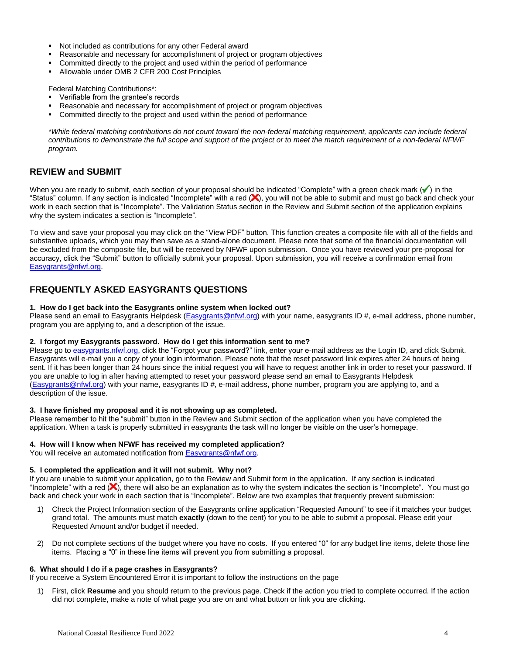- Not included as contributions for any other Federal award
- **Reasonable and necessary for accomplishment of project or program objectives**
- Committed directly to the project and used within the period of performance
- Allowable under OMB 2 CFR 200 Cost Principles

Federal Matching Contributions\*:

- Verifiable from the grantee's records
- **Reasonable and necessary for accomplishment of project or program objectives**
- Committed directly to the project and used within the period of performance

*\*While federal matching contributions do not count toward the non-federal matching requirement, applicants can include federal contributions to demonstrate the full scope and support of the project or to meet the match requirement of a non-federal NFWF program.*

### **REVIEW and SUBMIT**

When you are ready to submit, each section of your proposal should be indicated "Complete" with a green check mark  $(\checkmark)$  in the "Status" column. If any section is indicated "Incomplete" with a red  $(x)$ , you will not be able to submit and must go back and check your work in each section that is "Incomplete". The Validation Status section in the Review and Submit section of the application explains why the system indicates a section is "Incomplete".

To view and save your proposal you may click on the "View PDF" button. This function creates a composite file with all of the fields and substantive uploads, which you may then save as a stand-alone document. Please note that some of the financial documentation will be excluded from the composite file, but will be received by NFWF upon submission. Once you have reviewed your pre-proposal for accuracy, click the "Submit" button to officially submit your proposal. Upon submission, you will receive a confirmation email from [Easygrants@nfwf.org.](mailto:Easygrants@nfwf.org)

## **FREQUENTLY ASKED EASYGRANTS QUESTIONS**

### **1. How do I get back into the Easygrants online system when locked out?**

Please send an email to Easygrants Helpdesk [\(Easygrants@nfwf.org\)](mailto:Easygrants@nfwf.org) with your name, easygrants ID #, e-mail address, phone number, program you are applying to, and a description of the issue.

### **2. I forgot my Easygrants password. How do I get this information sent to me?**

Please go to [easygrants.nfwf.org,](https://easygrants.nfwf.org/) click the "Forgot your password?" link, enter your e-mail address as the Login ID, and click Submit. Easygrants will e-mail you a copy of your login information. Please note that the reset password link expires after 24 hours of being sent. If it has been longer than 24 hours since the initial request you will have to request another link in order to reset your password. If you are unable to log in after having attempted to reset your password please send an email to Easygrants Helpdesk [\(Easygrants@nfwf.org\)](mailto:Easygrants@nfwf.org) with your name, easygrants ID #, e-mail address, phone number, program you are applying to, and a description of the issue.

### **3. I have finished my proposal and it is not showing up as completed.**

Please remember to hit the "submit" button in the Review and Submit section of the application when you have completed the application. When a task is properly submitted in easygrants the task will no longer be visible on the user's homepage.

#### **4. How will I know when NFWF has received my completed application?**

You will receive an automated notification fro[m Easygrants@nfwf.org.](mailto:Easygrants@nfwf.org)

#### **5. I completed the application and it will not submit. Why not?**

If you are unable to submit your application, go to the Review and Submit form in the application.If any section is indicated "Incomplete" with a red  $(X)$ , there will also be an explanation as to why the system indicates the section is "Incomplete". You must go back and check your work in each section that is "Incomplete". Below are two examples that frequently prevent submission:

- 1) Check the Project Information section of the Easygrants online application "Requested Amount" to see if it matches your budget grand total. The amounts must match **exactly** (down to the cent) for you to be able to submit a proposal. Please edit your Requested Amount and/or budget if needed.
- 2) Do not complete sections of the budget where you have no costs. If you entered "0" for any budget line items, delete those line items. Placing a "0" in these line items will prevent you from submitting a proposal.

### **6. What should I do if a page crashes in Easygrants?**

If you receive a System Encountered Error it is important to follow the instructions on the page

1) First, click **Resume** and you should return to the previous page. Check if the action you tried to complete occurred. If the action did not complete, make a note of what page you are on and what button or link you are clicking.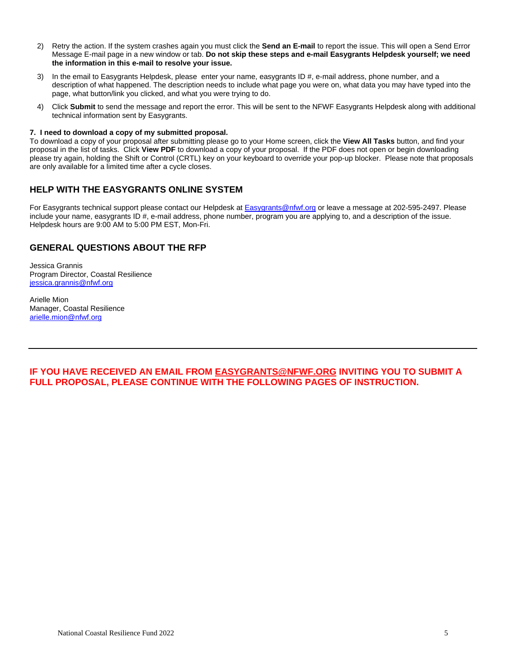- 2) Retry the action. If the system crashes again you must click the **Send an E-mail** to report the issue. This will open a Send Error Message E-mail page in a new window or tab. **Do not skip these steps and e-mail Easygrants Helpdesk yourself; we need the information in this e-mail to resolve your issue.**
- 3) In the email to Easygrants Helpdesk, please enter your name, easygrants ID #, e-mail address, phone number, and a description of what happened. The description needs to include what page you were on, what data you may have typed into the page, what button/link you clicked, and what you were trying to do.
- 4) Click **Submit** to send the message and report the error. This will be sent to the NFWF Easygrants Helpdesk along with additional technical information sent by Easygrants.

### **7. I need to download a copy of my submitted proposal.**

To download a copy of your proposal after submitting please go to your Home screen, click the **View All Tasks** button, and find your proposal in the list of tasks. Click **View PDF** to download a copy of your proposal. If the PDF does not open or begin downloading please try again, holding the Shift or Control (CRTL) key on your keyboard to override your pop-up blocker. Please note that proposals are only available for a limited time after a cycle closes.

## **HELP WITH THE EASYGRANTS ONLINE SYSTEM**

For Easygrants technical support please contact our Helpdesk at [Easygrants@nfwf.org](mailto:Easygrants@nfwf.org) or leave a message at 202-595-2497. Please include your name, easygrants ID #, e-mail address, phone number, program you are applying to, and a description of the issue. Helpdesk hours are 9:00 AM to 5:00 PM EST, Mon-Fri.

## **GENERAL QUESTIONS ABOUT THE RFP**

Jessica Grannis Program Director, Coastal Resilience [jessica.grannis@nfwf.org](mailto:jessica.grannis@nfwf.org)

Arielle Mion Manager, Coastal Resilience [arielle.mion@nfwf.org](mailto:arielle.mion@nfwf.org)

**IF YOU HAVE RECEIVED AN EMAIL FROM [EASYGRANTS@NFWF.ORG](mailto:EASYGRANTS@NFWF.ORG) INVITING YOU TO SUBMIT A FULL PROPOSAL, PLEASE CONTINUE WITH THE FOLLOWING PAGES OF INSTRUCTION.**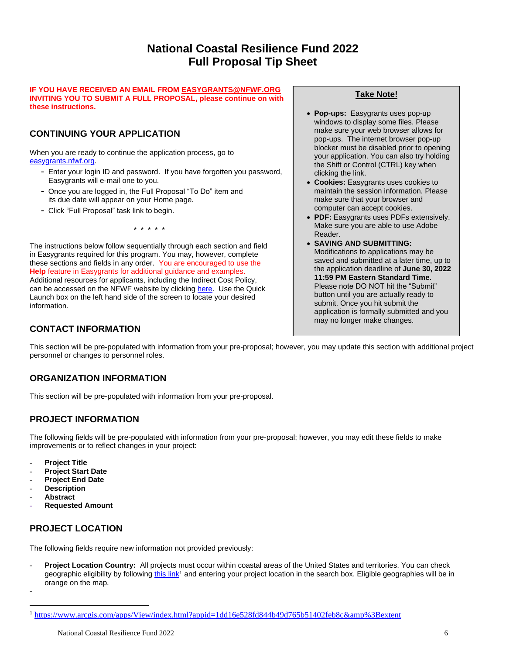# **National Coastal Resilience Fund 2022 Full Proposal Tip Sheet**

### **IF YOU HAVE RECEIVED AN EMAIL FRO[M EASYGRANTS@NFWF.ORG](mailto:EASYGRANTS@NFWF.ORG) INVITING YOU TO SUBMIT A FULL PROPOSAL, please continue on with these instructions.**

# **CONTINUING YOUR APPLICATION**

When you are ready to continue the application process, go to [easygrants.nfwf.org.](https://easygrants.nfwf.org/)

- Enter your login ID and password. If you have forgotten you password, Easygrants will e-mail one to you.
- Once you are logged in, the Full Proposal "To Do" item and its due date will appear on your Home page.
- Click "Full Proposal" task link to begin.

\* \* \* \* \*

The instructions below follow sequentially through each section and field in Easygrants required for this program. You may, however, complete these sections and fields in any order. You are encouraged to use the **Help** feature in Easygrants for additional guidance and examples. Additional resources for applicants, including the Indirect Cost Policy, can be accessed on the NFWF website by clicking [here.](http://www.nfwf.org/whatwedo/grants/applicants/Pages/home.aspx) Use the Quick Launch box on the left hand side of the screen to locate your desired information.

# **CONTACT INFORMATION**

## **Take Note!**

- **Pop-ups:** Easygrants uses pop-up windows to display some files. Please make sure your web browser allows for pop-ups. The internet browser pop-up blocker must be disabled prior to opening your application. You can also try holding the Shift or Control (CTRL) key when clicking the link.
- **Cookies:** Easygrants uses cookies to maintain the session information. Please make sure that your browser and computer can accept cookies.
- **PDF:** Easygrants uses PDFs extensively. Make sure you are able to use Adobe Reader.
- **SAVING AND SUBMITTING:**  Modifications to applications may be saved and submitted at a later time, up to the application deadline of **June 30, 2022 11:59 PM Eastern Standard Time**. Please note DO NOT hit the "Submit" button until you are actually ready to submit. Once you hit submit the application is formally submitted and you may no longer make changes.

This section will be pre-populated with information from your pre-proposal; however, you may update this section with additional project personnel or changes to personnel roles.

# **ORGANIZATION INFORMATION**

This section will be pre-populated with information from your pre-proposal.

## **PROJECT INFORMATION**

The following fields will be pre-populated with information from your pre-proposal; however, you may edit these fields to make improvements or to reflect changes in your project:

- **Project Title**
- **Project Start Date**
- **Project End Date**
- **Description**
- **Abstract**

-

- **Requested Amount**

# **PROJECT LOCATION**

The following fields require new information not provided previously:

**Project Location Country:** All projects must occur within coastal areas of the United States and territories. You can check geographic eligibility by following [this link](https://www.arcgis.com/apps/View/index.html?appid=1dd16e528fd844b49d765b51402feb8c&%3Bextent)<sup>1</sup> and entering your project location in the search box. Eligible geographies will be in orange on the map.

<sup>&</sup>lt;sup>1</sup> [https://www.arcgis.com/apps/View/index.html?appid=1dd16e528fd844b49d765b51402feb8c&amp%3Bextent](https://www.arcgis.com/apps/View/index.html?appid=1dd16e528fd844b49d765b51402feb8c&%3Bextent)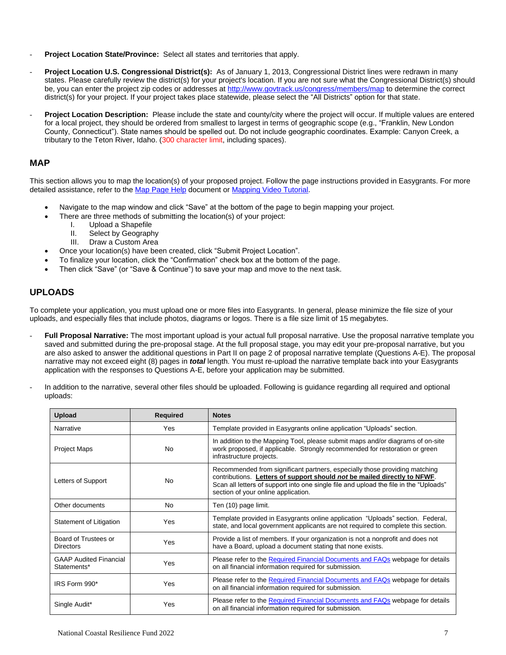- Project Location State/Province: Select all states and territories that apply.
- **Project Location U.S. Congressional District(s):** As of January 1, 2013, Congressional District lines were redrawn in many states. Please carefully review the district(s) for your project's location. If you are not sure what the Congressional District(s) should be, you can enter the project zip codes or addresse[s at](http://www.govtrack.us/congress/members/map) <http://www.govtrack.us/congress/members/map> to determine the correct district(s) for your project. If your project takes place statewide, please select the "All Districts" option for that state.
- **Project Location Description:** Please include the state and county/city where the project will occur. If multiple values are entered for a local project, they should be ordered from smallest to largest in terms of geographic scope (e.g., "Franklin, New London County, Connecticut"). State names should be spelled out. Do not include geographic coordinates. Example: Canyon Creek, a tributary to the Teton River, Idaho. (300 character limit, including spaces).

### **MAP**

This section allows you to map the location(s) of your proposed project. Follow the page instructions provided in Easygrants. For more detailed assistance, refer to the [Map Page Help](http://www.nfwf.org/whatwedo/grants/Documents/HelpFile.Proposal.Map.pdf) document o[r Mapping Video Tutorial.](http://www.nfwf.org/whatwedo/grants/applicants/Pages/mapping-tool.aspx#.VfH2mpd1b70)

- Navigate to the map window and click "Save" at the bottom of the page to begin mapping your project.
	- There are three methods of submitting the location(s) of your project:
		- I. Upload a Shapefile
		- II. Select by Geography
		- III. Draw a Custom Area
- Once your location(s) have been created, click "Submit Project Location".
- To finalize your location, click the "Confirmation" check box at the bottom of the page.
- Then click "Save" (or "Save & Continue") to save your map and move to the next task.

### **UPLOADS**

To complete your application, you must upload one or more files into Easygrants. In general, please minimize the file size of your uploads, and especially files that include photos, diagrams or logos. There is a file size limit of 15 megabytes.

- Full Proposal Narrative: The most important upload is your actual full proposal narrative. Use the proposal narrative template you saved and submitted during the pre-proposal stage. At the full proposal stage, you may edit your pre-proposal narrative, but you are also asked to answer the additional questions in Part II on page 2 of proposal narrative template (Questions A-E). The proposal narrative may not exceed eight (8) pages in *total* length. You must re-upload the narrative template back into your Easygrants application with the responses to Questions A-E, before your application may be submitted.
- In addition to the narrative, several other files should be uploaded. Following is guidance regarding all required and optional uploads:

| <b>Upload</b>                                | <b>Required</b> | <b>Notes</b>                                                                                                                                                                                                                                                                           |
|----------------------------------------------|-----------------|----------------------------------------------------------------------------------------------------------------------------------------------------------------------------------------------------------------------------------------------------------------------------------------|
| Narrative                                    | Yes             | Template provided in Easygrants online application "Uploads" section.                                                                                                                                                                                                                  |
| <b>Project Maps</b>                          | <b>No</b>       | In addition to the Mapping Tool, please submit maps and/or diagrams of on-site<br>work proposed, if applicable. Strongly recommended for restoration or green<br>infrastructure projects.                                                                                              |
| Letters of Support                           | No              | Recommended from significant partners, especially those providing matching<br>contributions. Letters of support should not be mailed directly to NFWF.<br>Scan all letters of support into one single file and upload the file in the "Uploads"<br>section of your online application. |
| Other documents                              | <b>No</b>       | Ten (10) page limit.                                                                                                                                                                                                                                                                   |
| Statement of Litigation                      | Yes             | Template provided in Easygrants online application "Uploads" section. Federal,<br>state, and local government applicants are not required to complete this section.                                                                                                                    |
| Board of Trustees or<br><b>Directors</b>     | Yes             | Provide a list of members. If your organization is not a nonprofit and does not<br>have a Board, upload a document stating that none exists.                                                                                                                                           |
| <b>GAAP Audited Financial</b><br>Statements* | Yes             | Please refer to the Required Financial Documents and FAQs webpage for details<br>on all financial information required for submission.                                                                                                                                                 |
| IRS Form 990*                                | Yes             | Please refer to the Required Financial Documents and FAQs webpage for details<br>on all financial information required for submission.                                                                                                                                                 |
| Single Audit*                                | Yes             | Please refer to the Required Financial Documents and FAQs webpage for details<br>on all financial information required for submission.                                                                                                                                                 |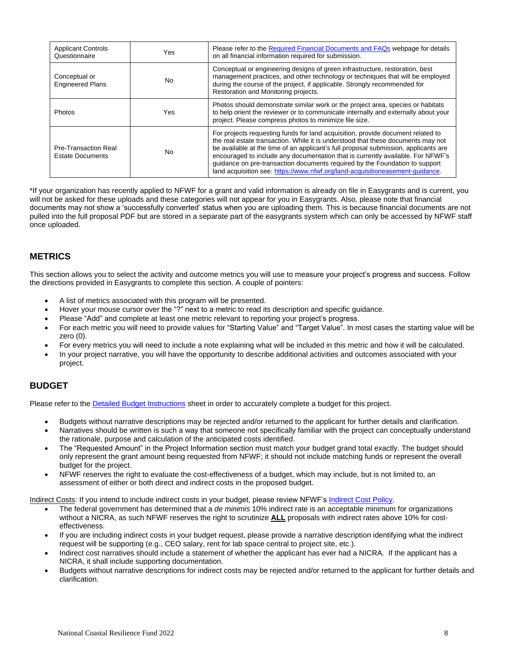| <b>Applicant Controls</b><br>Questionnaire      | Yes | Please refer to the Required Financial Documents and FAQs webpage for details<br>on all financial information required for submission.                                                                                                                                                                                                                                                                                                                                                                        |
|-------------------------------------------------|-----|---------------------------------------------------------------------------------------------------------------------------------------------------------------------------------------------------------------------------------------------------------------------------------------------------------------------------------------------------------------------------------------------------------------------------------------------------------------------------------------------------------------|
| Conceptual or<br><b>Engineered Plans</b>        | No. | Conceptual or engineering designs of green infrastructure, restoration, best<br>management practices, and other technology or techniques that will be employed<br>during the course of the project, if applicable. Strongly recommended for<br>Restoration and Monitoring projects.                                                                                                                                                                                                                           |
| Photos                                          | Yes | Photos should demonstrate similar work or the project area, species or habitats<br>to help orient the reviewer or to communicate internally and externally about your<br>project. Please compress photos to minimize file size.                                                                                                                                                                                                                                                                               |
| Pre-Transaction Real<br><b>Estate Documents</b> | No. | For projects requesting funds for land acquisition, provide document related to<br>the real estate transaction. While it is understood that these documents may not<br>be available at the time of an applicant's full proposal submission, applicants are<br>encouraged to include any documentation that is currently available. For NFWF's<br>guidance on pre-transaction documents required by the Foundation to support<br>land acquisition see: https://www.nfwf.org/land-acquisitioneasement-quidance. |

\*If your organization has recently applied to NFWF for a grant and valid information is already on file in Easygrants and is current, you will not be asked for these uploads and these categories will not appear for you in Easygrants. Also, please note that financial documents may not show a 'successfully converted' status when you are uploading them. This is because financial documents are not pulled into the full proposal PDF but are stored in a separate part of the easygrants system which can only be accessed by NFWF staff once uploaded.

## **METRICS**

This section allows you to select the activity and outcome metrics you will use to measure your project's progress and success. Follow the directions provided in Easygrants to complete this section. A couple of pointers:

- A list of metrics associated with this program will be presented.
- Hover your mouse cursor over the "?" next to a metric to read its description and specific guidance.
- Please "Add" and complete at least one metric relevant to reporting your project's progress.
- For each metric you will need to provide values for "Starting Value" and "Target Value". In most cases the starting value will be zero (0).
- For every metrics you will need to include a note explaining what will be included in this metric and how it will be calculated.
- In your project narrative, you will have the opportunity to describe additional activities and outcomes associated with your project.

### **BUDGET**

Please refer to the [Detailed Budget](http://www.nfwf.org/whatwedo/grants/applicants/Pages/budget-instructions.aspx) Instructions sheet in order to accurately complete a budget for this project.

- Budgets without narrative descriptions may be rejected and/or returned to the applicant for further details and clarification.
- Narratives should be written is such a way that someone not specifically familiar with the project can conceptually understand the rationale, purpose and calculation of the anticipated costs identified.
- The "Requested Amount" in the Project Information section must match your budget grand total exactly. The budget should only represent the grant amount being requested from NFWF; it should not include matching funds or represent the overall budget for the project.
- NFWF reserves the right to evaluate the cost-effectiveness of a budget, which may include, but is not limited to, an assessment of either or both direct and indirect costs in the proposed budget.

Indirect Costs: If you intend to include indirect costs in your budget, please review NFWF's [Indirect Cost Policy.](http://www.nfwf.org/whatwedo/grants/applicants/Pages/indirect-policy.aspx)

- The federal government has determined that a *de minimis* 10% indirect rate is an acceptable minimum for organizations without a NICRA, as such NFWF reserves the right to scrutinize **ALL** proposals with indirect rates above 10% for costeffectiveness.
- If you are including indirect costs in your budget request, please provide a narrative description identifying what the indirect request will be supporting (e.g., CEO salary, rent for lab space central to project site, etc.).
- Indirect cost narratives should include a statement of whether the applicant has ever had a NICRA. If the applicant has a NICRA, it shall include supporting documentation.
- Budgets without narrative descriptions for indirect costs may be rejected and/or returned to the applicant for further details and clarification.